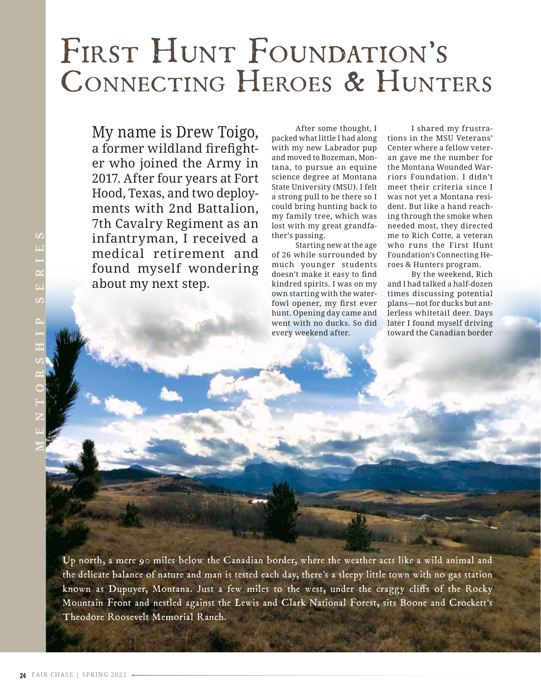## FIRST HUNT FOUNDATION'S Connecting Heroes & Hunters

My name is Drew Toigo, a former wildland firefighter who joined the Army in 2017. After four years at Fort Hood, Texas, and two deployments with 2nd Battalion, 7th Cavalry Regiment as an infantryman, I received a medical retirement and found myself wondering about my next step.

After some thought, I packed what little I had along with my new Labrador pup and moved to Bozeman, Montana, to pursue an equine science degree at Montana State University (MSU). I felt a strong pull to be there so I could bring hunting back to my family tree, which was lost with my great grandfather's passing.

Starting new at the age of 26 while surrounded by much younger students doesn't make it easy to find kindred spirits. I was on my own starting with the waterfowl opener, my first ever hunt. Opening day came and went with no ducks. So did every weekend after.

I shared my frustrations in the MSU Veterans' Center where a fellow veteran gave me the number for the Montana Wounded Warriors Foundation. I didn't meet their criteria since I was not yet a Montana resident. But like a hand reaching through the smoke when needed most, they directed me to Rich Cotte, a veteran who runs the First Hunt Foundation's Connecting Heroes & Hunters program.

By the weekend, Rich and I had talked a half-dozen times discussing potential plans—not for ducks but antlerless whitetail deer. Days later I found myself driving toward the Canadian border

**MENTORSHIP SERIES**

SERIES

Up north, a mere 90 miles below the Canadian border, where the weather acts like a wild animal and the delicate balance of nature and man is tested each day, there's a sleepy little town with no gas station known as Dupuyer, Montana. Just a few miles to the west, under the craggy cliffs of the Rocky Mountain Front and nestled against the Lewis and Clark National Forest, sits Boone and Crockett's Theodore Roosevelt Memorial Ranch.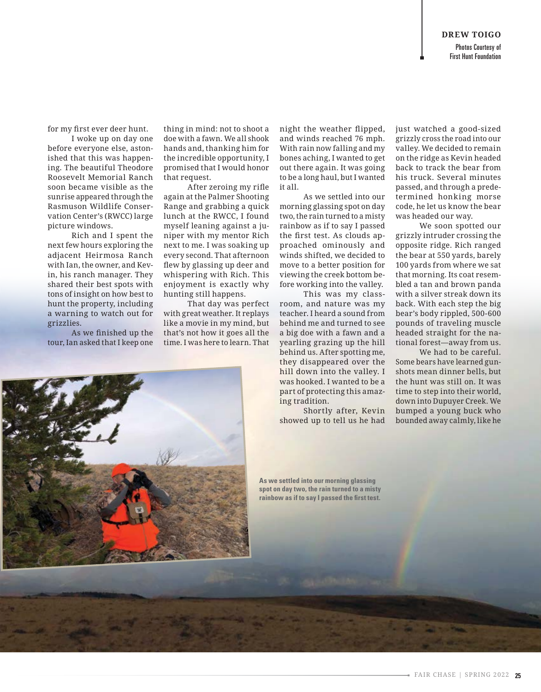First Hunt Foundation

for my first ever deer hunt.

I woke up on day one before everyone else, astonished that this was happening. The beautiful Theodore Roosevelt Memorial Ranch soon became visible as the sunrise appeared through the Rasmuson Wildlife Conservation Center's (RWCC) large picture windows.

Rich and I spent the next few hours exploring the adjacent Heirmosa Ranch with Ian, the owner, and Kevin, his ranch manager. They shared their best spots with tons of insight on how best to hunt the property, including a warning to watch out for grizzlies.

As we finished up the tour, Ian asked that I keep one thing in mind: not to shoot a doe with a fawn. We all shook hands and, thanking him for the incredible opportunity, I promised that I would honor that request.

After zeroing my rifle again at the Palmer Shooting Range and grabbing a quick lunch at the RWCC, I found myself leaning against a juniper with my mentor Rich next to me. I was soaking up every second. That afternoon flew by glassing up deer and whispering with Rich. This enjoyment is exactly why hunting still happens.

That day was perfect with great weather. It replays like a movie in my mind, but that's not how it goes all the time. I was here to learn. That night the weather flipped, and winds reached 76 mph. With rain now falling and my bones aching, I wanted to get out there again. It was going to be a long haul, but I wanted it all.

As we settled into our morning glassing spot on day two, the rain turned to a misty rainbow as if to say I passed the first test. As clouds approached ominously and winds shifted, we decided to move to a better position for viewing the creek bottom before working into the valley.

This was my classroom, and nature was my teacher. I heard a sound from behind me and turned to see a big doe with a fawn and a yearling grazing up the hill behind us. After spotting me, they disappeared over the hill down into the valley. I was hooked. I wanted to be a part of protecting this amazing tradition.

Shortly after, Kevin showed up to tell us he had

just watched a good-sized grizzly cross the road into our valley. We decided to remain on the ridge as Kevin headed back to track the bear from his truck. Several minutes passed, and through a predetermined honking morse code, he let us know the bear was headed our way.

We soon spotted our grizzly intruder crossing the opposite ridge. Rich ranged the bear at 550 yards, barely 100 yards from where we sat that morning. Its coat resembled a tan and brown panda with a silver streak down its back. With each step the big bear's body rippled, 500-600 pounds of traveling muscle headed straight for the national forest—away from us.

We had to be careful. Some bears have learned gunshots mean dinner bells, but the hunt was still on. It was time to step into their world, down into Dupuyer Creek. We bumped a young buck who bounded away calmly, like he



**As we settled into our morning glassing spot on day two, the rain turned to a misty rainbow as if to say I passed the first test.**